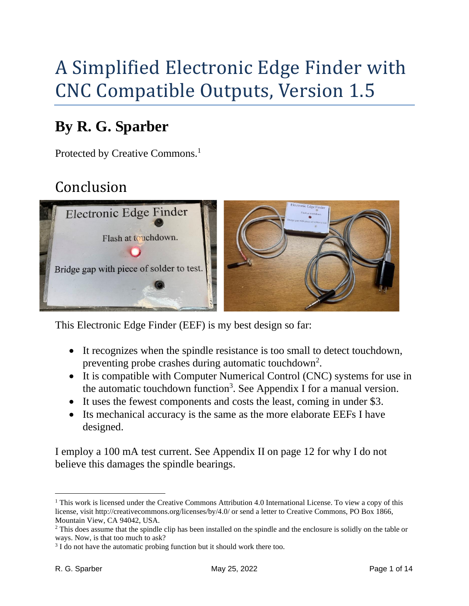# A Simplified Electronic Edge Finder with CNC Compatible Outputs, Version 1.5

## **By R. G. Sparber**

<span id="page-0-0"></span>Protected by Creative Commons.<sup>1</sup>

## Conclusion



This Electronic Edge Finder (EEF) is my best design so far:

- It recognizes when the spindle resistance is too small to detect touchdown, preventing probe crashes during automatic touchdown<sup>2</sup>.
- It is compatible with Computer Numerical Control (CNC) systems for use in the automatic touchdown function<sup>3</sup>. See Appendix I for a manual version.
- It uses the fewest components and costs the least, coming in under \$3.
- Its mechanical accuracy is the same as the more elaborate EEFs I have designed.

I employ a 100 mA test current. See Appendix II on page [12](#page-11-0) for why I do not believe this damages the spindle bearings.

<sup>&</sup>lt;sup>1</sup> This work is licensed under the Creative Commons Attribution 4.0 International License. To view a copy of this license, visit http://creativecommons.org/licenses/by/4.0/ or send a letter to Creative Commons, PO Box 1866, Mountain View, CA 94042, USA.

<sup>&</sup>lt;sup>2</sup> This does assume that the spindle clip has been installed on the spindle and the enclosure is solidly on the table or ways. Now, is that too much to ask?

<sup>&</sup>lt;sup>3</sup> I do not have the automatic probing function but it should work there too.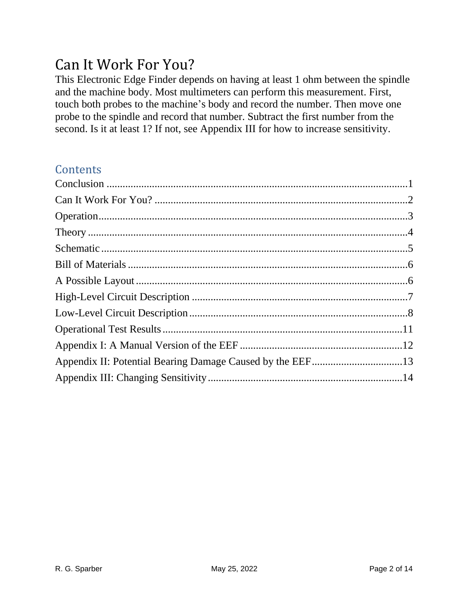#### <span id="page-1-0"></span>Can It Work For You?

This Electronic Edge Finder depends on having at least 1 ohm between the spindle and the machine body. Most multimeters can perform this measurement. First, touch both probes to the machine's body and record the number. Then move one probe to the spindle and record that number. Subtract the first number from the second. Is it at least 1? If not, see Appendix III for how to increase sensitivity.

#### **Contents**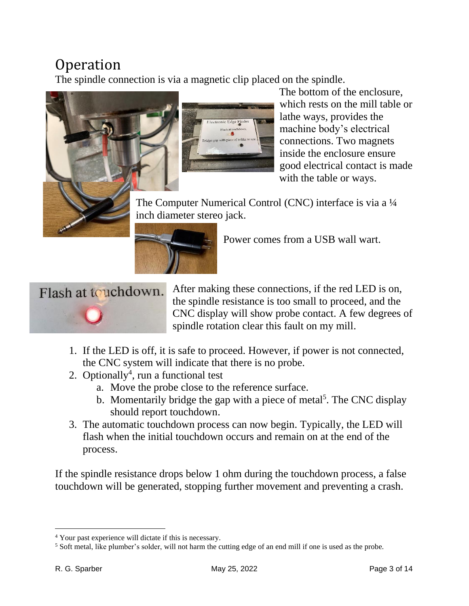#### <span id="page-2-0"></span>**Operation**

The spindle connection is via a magnetic clip placed on the spindle.





The bottom of the enclosure, which rests on the mill table or lathe ways, provides the machine body's electrical connections. Two magnets inside the enclosure ensure good electrical contact is made with the table or ways.

The Computer Numerical Control (CNC) interface is via a ¼ inch diameter stereo jack.



Power comes from a USB wall wart.



After making these connections, if the red LED is on, the spindle resistance is too small to proceed, and the CNC display will show probe contact. A few degrees of spindle rotation clear this fault on my mill.

- 1. If the LED is off, it is safe to proceed. However, if power is not connected, the CNC system will indicate that there is no probe.
- 2. Optionally<sup>4</sup>, run a functional test
	- a. Move the probe close to the reference surface.
	- b. Momentarily bridge the gap with a piece of metal<sup>5</sup>. The CNC display should report touchdown.
- 3. The automatic touchdown process can now begin. Typically, the LED will flash when the initial touchdown occurs and remain on at the end of the process.

If the spindle resistance drops below 1 ohm during the touchdown process, a false touchdown will be generated, stopping further movement and preventing a crash.

<sup>4</sup> Your past experience will dictate if this is necessary.

<sup>&</sup>lt;sup>5</sup> Soft metal, like plumber's solder, will not harm the cutting edge of an end mill if one is used as the probe.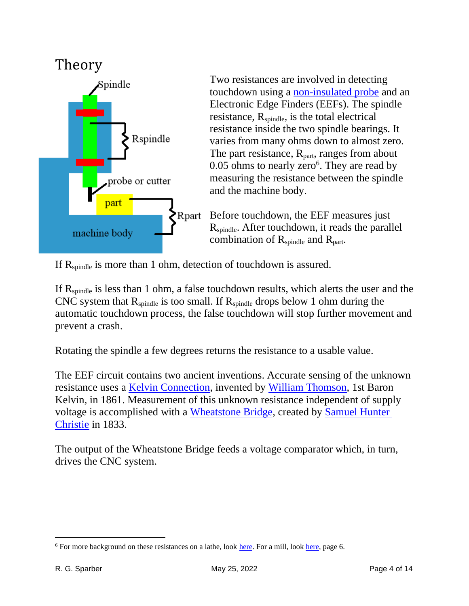<span id="page-3-0"></span>

Two resistances are involved in detecting touchdown using a [non-insulated probe](https://rick.sparber.org/EEFprobe.pdf) and an Electronic Edge Finders (EEFs). The spindle resistance,  $R_{\text{spindle}}$ , is the total electrical resistance inside the two spindle bearings. It varies from many ohms down to almost zero. The part resistance,  $R_{part}$ , ranges from about  $0.05$  ohms to nearly zero<sup>6</sup>. They are read by measuring the resistance between the spindle and the machine body.

Before touchdown, the EEF measures just R<sub>spindle</sub>. After touchdown, it reads the parallel combination of  $R_{\text{spindle}}$  and  $R_{\text{part}}$ .

If  $R_{\text{spindle}}$  is more than 1 ohm, detection of touchdown is assured.

If  $R_{\text{spindle}}$  is less than 1 ohm, a false touchdown results, which alerts the user and the CNC system that  $R_{\text{spindle}}$  is too small. If  $R_{\text{spindle}}$  drops below 1 ohm during the automatic touchdown process, the false touchdown will stop further movement and prevent a crash.

Rotating the spindle a few degrees returns the resistance to a usable value.

The EEF circuit contains two ancient inventions. Accurate sensing of the unknown resistance uses a [Kelvin Connection,](https://en.wikipedia.org/wiki/Four-terminal_sensing) invented by [William Thomson,](https://en.wikipedia.org/wiki/William_Thomson,_1st_Baron_Kelvin) 1st Baron Kelvin, in 1861. Measurement of this unknown resistance independent of supply voltage is accomplished with a [Wheatstone Bridge,](https://en.wikipedia.org/wiki/Wheatstone_bridge) created by [Samuel Hunter](https://en.wikipedia.org/wiki/Samuel_Hunter_Christie%20in%201833)  [Christie](https://en.wikipedia.org/wiki/Samuel_Hunter_Christie%20in%201833) in 1833.

The output of the Wheatstone Bridge feeds a voltage comparator which, in turn, drives the CNC system.

<sup>&</sup>lt;sup>6</sup> For more background on these resistances on a lathe, look [here.](https://rick.sparber.org/ueef.pdf) For a mill, look [here,](https://rick.sparber.org/MCEEF.pdf) page 6.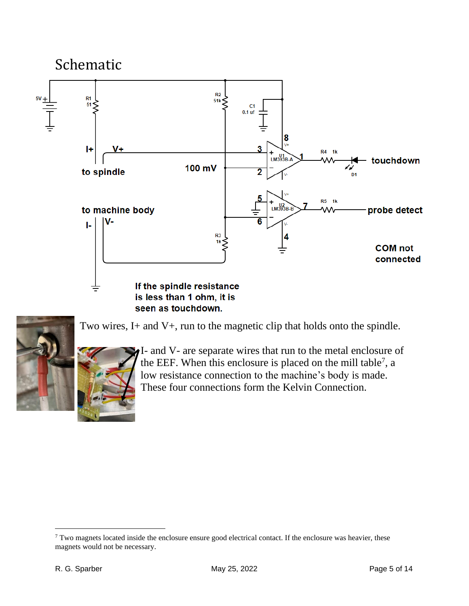<span id="page-4-0"></span>



Two wires, I+ and V+, run to the magnetic clip that holds onto the spindle.

<span id="page-4-1"></span>I- and V- are separate wires that run to the metal enclosure of the EEF. When this enclosure is placed on the mill table<sup>7</sup>, a low resistance connection to the machine's body is made. These four connections form the Kelvin Connection.

<sup>&</sup>lt;sup>7</sup> Two magnets located inside the enclosure ensure good electrical contact. If the enclosure was heavier, these magnets would not be necessary.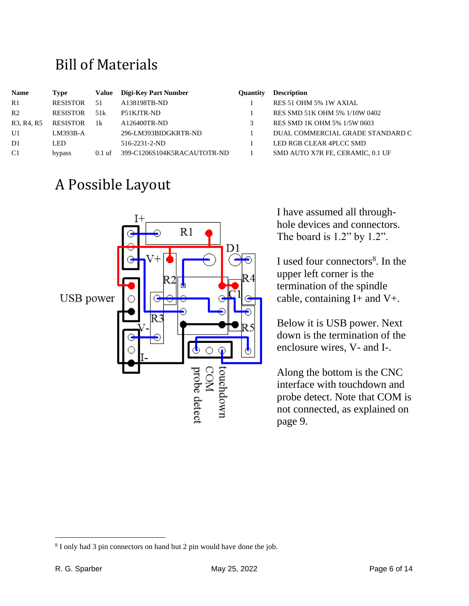#### <span id="page-5-0"></span>Bill of Materials

| <b>Name</b>                                      | Type            | Value    | Digi-Key Part Number        | <b>Ouantity</b> | <b>Description</b>               |
|--------------------------------------------------|-----------------|----------|-----------------------------|-----------------|----------------------------------|
| R1                                               | <b>RESISTOR</b> | 51       | A138198TB-ND                |                 | RES 51 OHM 5% 1W AXIAL           |
| R <sub>2</sub>                                   | <b>RESISTOR</b> | 51k      | P51KJTR-ND                  |                 | RES SMD 51K OHM 5% 1/10W 0402    |
| R <sub>3</sub> , R <sub>4</sub> , R <sub>5</sub> | <b>RESISTOR</b> | 1k       | A126400TR-ND                |                 | RES SMD 1K OHM 5% 1/5W 0603      |
| U1                                               | $LM393B-A$      |          | 296-LM393BIDGKRTR-ND        |                 | DUAL COMMERCIAL GRADE STANDARD C |
| D1                                               | LED             |          | $516 - 2231 - 2 - ND$       |                 | LED RGB CLEAR 4PLCC SMD          |
| C1                                               | bypass          | $0.1$ uf | 399-C1206S104K5RACAUTOTR-ND |                 | SMD AUTO X7R FE, CERAMIC, 0.1 UF |

#### <span id="page-5-1"></span>A Possible Layout



#### **Name Type Value Digi-Key Part Number Quantity Description**

|    | RES 51 OHM 5% 1W AXIAL           |
|----|----------------------------------|
| 1  | RES SMD 51K OHM 5% 1/10W 0402    |
| 3. | RES SMD 1K OHM 5% 1/5W 0603      |
| 1. | DUAL COMMERCIAL GRADE STANDARD C |
| 1  | LED RGB CLEAR 4PLCC SMD          |
|    | SMD AUTO X7R FE. CERAMIC. 0.1 UF |

I have assumed all throughhole devices and connectors. The board is 1.2" by 1.2".

I used four connectors<sup>8</sup>. In the upper left corner is the termination of the spindle cable, containing  $I+$  and  $V+$ .

Below it is USB power. Next down is the termination of the enclosure wires, V- and I-.

Along the bottom is the CNC interface with touchdown and probe detect. Note that COM is not connected, as explained on page [9.](#page-8-0)

<sup>&</sup>lt;sup>8</sup> I only had 3 pin connectors on hand but 2 pin would have done the job.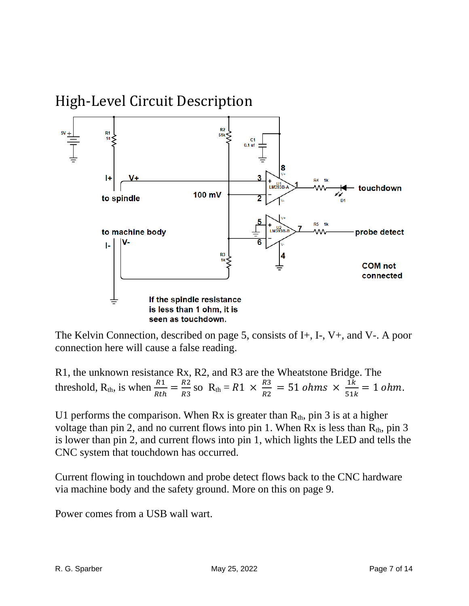<span id="page-6-0"></span>

The Kelvin Connection, described on page [5,](#page-4-1) consists of I+, I-, V+, and V-. A poor connection here will cause a false reading.

R1, the unknown resistance Rx, R2, and R3 are the Wheatstone Bridge. The threshold, R<sub>th</sub>, is when  $\frac{R1}{Rth} = \frac{R2}{R3}$  $\frac{R2}{R3}$  so  $R_{th} = R1 \times \frac{R3}{R2}$  $\frac{R3}{R2} = 51 \text{ ohms} \times \frac{1k}{51k}$  $\frac{1}{51k} = 1$  ohm.

U1 performs the comparison. When Rx is greater than  $R_{th}$ , pin 3 is at a higher voltage than pin 2, and no current flows into pin 1. When Rx is less than  $R_{th}$ , pin 3 is lower than pin 2, and current flows into pin 1, which lights the LED and tells the CNC system that touchdown has occurred.

Current flowing in touchdown and probe detect flows back to the CNC hardware via machine body and the safety ground. More on this on page [9.](#page-8-0)

Power comes from a USB wall wart.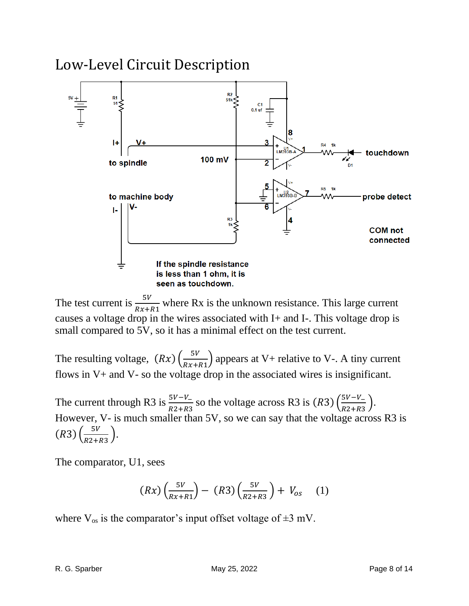#### <span id="page-7-0"></span>Low-Level Circuit Description



The test current is  $\frac{5V}{Rx+R1}$  where Rx is the unknown resistance. This large current causes a voltage drop in the wires associated with I+ and I-. This voltage drop is small compared to 5V, so it has a minimal effect on the test current.

The resulting voltage,  $(Rx) \left(\frac{5V}{Rx}\right)$  $\frac{5v}{Rx+R1}$  appears at V+ relative to V-. A tiny current flows in V+ and V- so the voltage drop in the associated wires is insignificant.

The current through R3 is  $\frac{5V-V_-}{R2+R3}$  so the voltage across R3 is  $(R3)$   $\left(\frac{5V-V_-}{R2+R3}\right)$  $\frac{3v-v_{-}}{R2+R3}$ . However, V- is much smaller than 5V, so we can say that the voltage across R3 is  $(R3) \left( \frac{5V}{R2} \right)$  $\frac{3v}{R2+R3}$ .

The comparator, U1, sees

$$
(Rx)\left(\frac{5V}{Rx+R1}\right) - (R3)\left(\frac{5V}{R2+R3}\right) + V_{os} \quad (1)
$$

where  $V_{\text{os}}$  is the comparator's input offset voltage of  $\pm 3$  mV.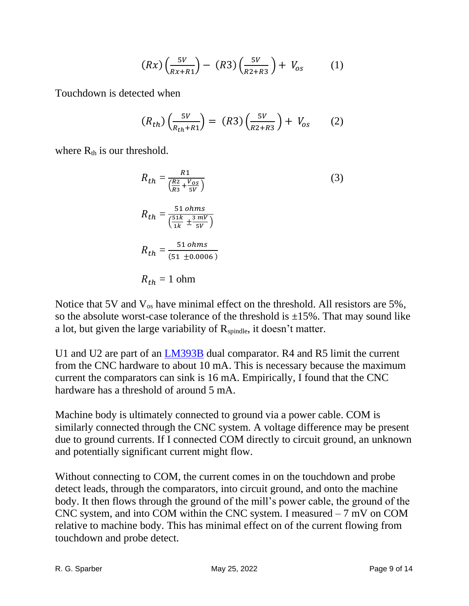$$
(Rx)\left(\frac{5V}{Rx+R1}\right) - (R3)\left(\frac{5V}{R2+R3}\right) + V_{os} \tag{1}
$$

Touchdown is detected when

$$
(R_{th})\left(\frac{5V}{R_{th}+R1}\right) = (R3)\left(\frac{5V}{R2+R3}\right) + V_{os} \qquad (2)
$$

where  $R_{th}$  is our threshold.

$$
R_{th} = \frac{R1}{\left(\frac{R2}{R3} + \frac{V_{OS}}{5V}\right)}
$$
\n
$$
R_{th} = \frac{51 \text{ ohms}}{\left(\frac{51k}{1k} + \frac{3 \text{ mV}}{5V}\right)}
$$
\n
$$
R_{th} = \frac{51 \text{ ohms}}{(51 \pm 0.0006)}
$$
\n
$$
R_{th} = 1 \text{ ohm}
$$
\n(3)

Notice that 5V and  $V_{\text{os}}$  have minimal effect on the threshold. All resistors are 5%, so the absolute worst-case tolerance of the threshold is  $\pm 15\%$ . That may sound like a lot, but given the large variability of  $R_{\text{spindle}}$ , it doesn't matter.

U1 and U2 are part of an [LM393B](https://www.ti.com/lit/ds/symlink/lm393b.pdf?ts=1652451809577&ref_url=https%253A%252F%252Fwww.mouser.com%252F) dual comparator. R4 and R5 limit the current from the CNC hardware to about 10 mA. This is necessary because the maximum current the comparators can sink is 16 mA. Empirically, I found that the CNC hardware has a threshold of around 5 mA.

<span id="page-8-0"></span>Machine body is ultimately connected to ground via a power cable. COM is similarly connected through the CNC system. A voltage difference may be present due to ground currents. If I connected COM directly to circuit ground, an unknown and potentially significant current might flow.

Without connecting to COM, the current comes in on the touchdown and probe detect leads, through the comparators, into circuit ground, and onto the machine body. It then flows through the ground of the mill's power cable, the ground of the CNC system, and into COM within the CNC system. I measured – 7 mV on COM relative to machine body. This has minimal effect on of the current flowing from touchdown and probe detect.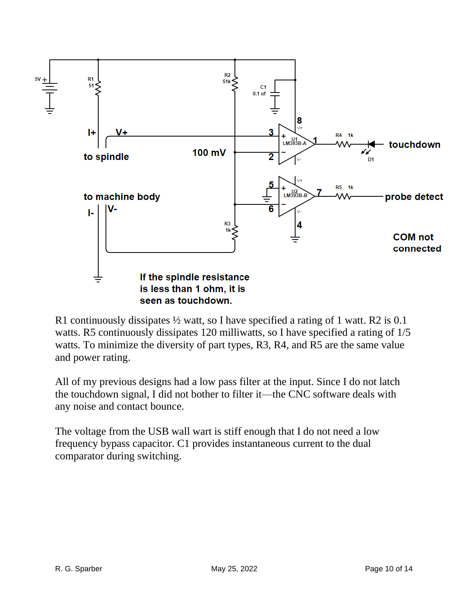

R1 continuously dissipates ½ watt, so I have specified a rating of 1 watt. R2 is 0.1 watts. R5 continuously dissipates 120 milliwatts, so I have specified a rating of  $1/5$ watts. To minimize the diversity of part types, R3, R4, and R5 are the same value and power rating.

All of my previous designs had a low pass filter at the input. Since I do not latch the touchdown signal, I did not bother to filter it—the CNC software deals with any noise and contact bounce.

The voltage from the USB wall wart is stiff enough that I do not need a low frequency bypass capacitor. C1 provides instantaneous current to the dual comparator during switching.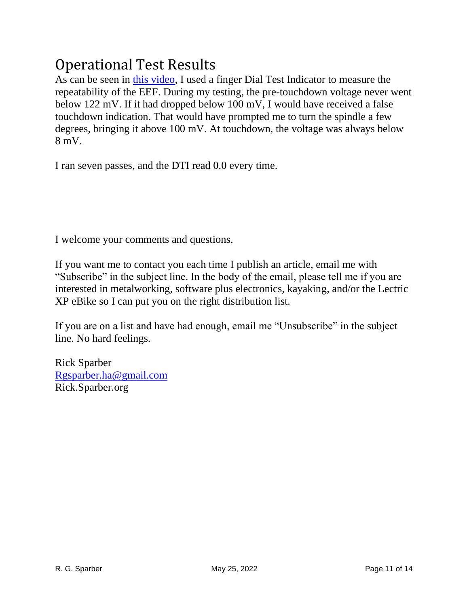#### <span id="page-10-0"></span>Operational Test Results

As can be seen in [this video,](https://www.youtube.com/watch?v=3Fj7y2lxvy4&t=8s) I used a finger Dial Test Indicator to measure the repeatability of the EEF. During my testing, the pre-touchdown voltage never went below 122 mV. If it had dropped below 100 mV, I would have received a false touchdown indication. That would have prompted me to turn the spindle a few degrees, bringing it above 100 mV. At touchdown, the voltage was always below 8 mV.

I ran seven passes, and the DTI read 0.0 every time.

I welcome your comments and questions.

If you want me to contact you each time I publish an article, email me with "Subscribe" in the subject line. In the body of the email, please tell me if you are interested in metalworking, software plus electronics, kayaking, and/or the Lectric XP eBike so I can put you on the right distribution list.

If you are on a list and have had enough, email me "Unsubscribe" in the subject line. No hard feelings.

Rick Sparber [Rgsparber.ha@gmail.com](mailto:Rgsparber.ha@gmail.com) Rick.Sparber.org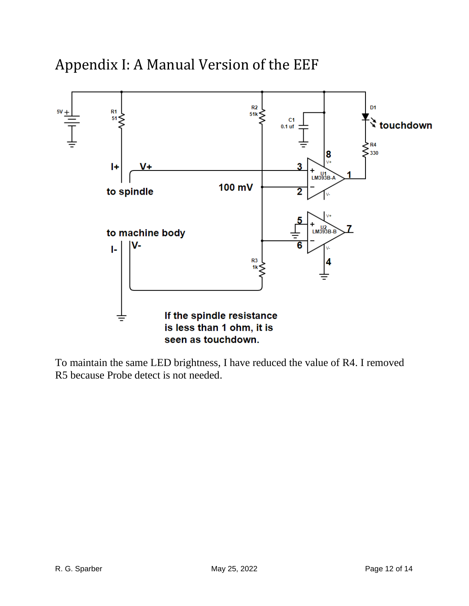#### <span id="page-11-0"></span>Appendix I: A Manual Version of the EEF



To maintain the same LED brightness, I have reduced the value of R4. I removed R5 because Probe detect is not needed.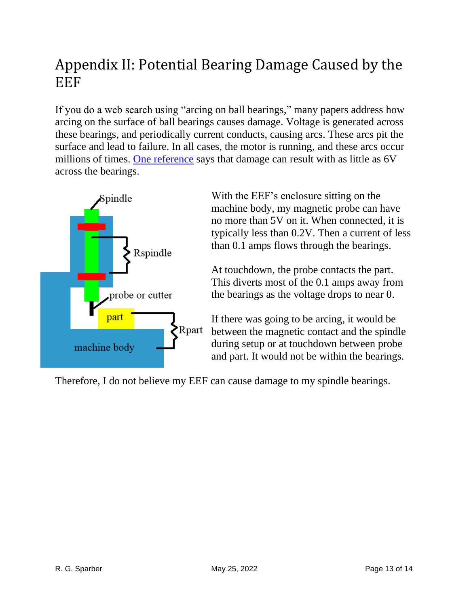#### <span id="page-12-0"></span>Appendix II: Potential Bearing Damage Caused by the EEF

If you do a web search using "arcing on ball bearings," many papers address how arcing on the surface of ball bearings causes damage. Voltage is generated across these bearings, and periodically current conducts, causing arcs. These arcs pit the surface and lead to failure. In all cases, the motor is running, and these arcs occur millions of times. [One reference](https://www.vibescorp.ca/pdf/electrically-induced-bearing-damage-and-shaft-currents.pdf?v=2) says that damage can result with as little as 6V across the bearings.



With the EEF's enclosure sitting on the machine body, my magnetic probe can have no more than 5V on it. When connected, it is typically less than 0.2V. Then a current of less than 0.1 amps flows through the bearings.

At touchdown, the probe contacts the part. This diverts most of the 0.1 amps away from the bearings as the voltage drops to near 0.

If there was going to be arcing, it would be between the magnetic contact and the spindle during setup or at touchdown between probe and part. It would not be within the bearings.

Therefore, I do not believe my EEF can cause damage to my spindle bearings.